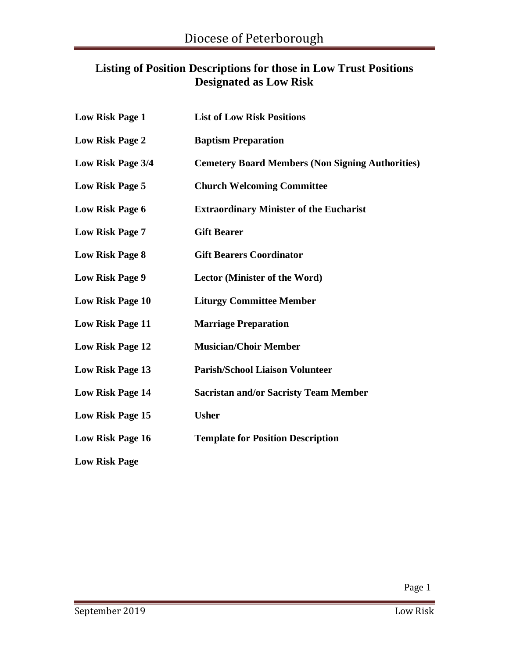#### **Listing of Position Descriptions for those in Low Trust Positions Designated as Low Risk**

| <b>Low Risk Page 1</b>  | <b>List of Low Risk Positions</b>                       |
|-------------------------|---------------------------------------------------------|
| <b>Low Risk Page 2</b>  | <b>Baptism Preparation</b>                              |
| Low Risk Page 3/4       | <b>Cemetery Board Members (Non Signing Authorities)</b> |
| <b>Low Risk Page 5</b>  | <b>Church Welcoming Committee</b>                       |
| <b>Low Risk Page 6</b>  | <b>Extraordinary Minister of the Eucharist</b>          |
| <b>Low Risk Page 7</b>  | <b>Gift Bearer</b>                                      |
| <b>Low Risk Page 8</b>  | <b>Gift Bearers Coordinator</b>                         |
| <b>Low Risk Page 9</b>  | Lector (Minister of the Word)                           |
| <b>Low Risk Page 10</b> | <b>Liturgy Committee Member</b>                         |
| <b>Low Risk Page 11</b> | <b>Marriage Preparation</b>                             |
| <b>Low Risk Page 12</b> | <b>Musician/Choir Member</b>                            |
| <b>Low Risk Page 13</b> | <b>Parish/School Liaison Volunteer</b>                  |
| <b>Low Risk Page 14</b> | <b>Sacristan and/or Sacristy Team Member</b>            |
| <b>Low Risk Page 15</b> | <b>Usher</b>                                            |
| <b>Low Risk Page 16</b> | <b>Template for Position Description</b>                |
| <b>Low Risk Page</b>    |                                                         |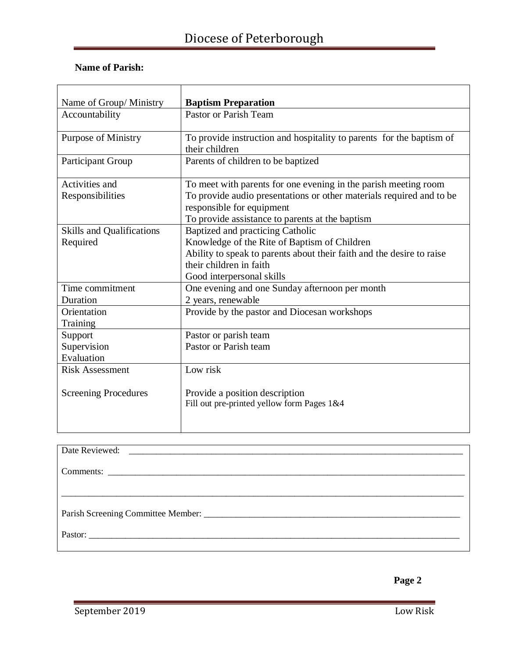#### **Name of Parish:**

| Name of Group/ Ministry          | <b>Baptism Preparation</b>                                                                        |
|----------------------------------|---------------------------------------------------------------------------------------------------|
| Accountability                   | Pastor or Parish Team                                                                             |
| <b>Purpose of Ministry</b>       | To provide instruction and hospitality to parents for the baptism of<br>their children            |
| <b>Participant Group</b>         | Parents of children to be baptized                                                                |
| Activities and                   | To meet with parents for one evening in the parish meeting room                                   |
| Responsibilities                 | To provide audio presentations or other materials required and to be<br>responsible for equipment |
|                                  | To provide assistance to parents at the baptism                                                   |
| <b>Skills and Qualifications</b> | <b>Baptized and practicing Catholic</b>                                                           |
| Required                         | Knowledge of the Rite of Baptism of Children                                                      |
|                                  | Ability to speak to parents about their faith and the desire to raise                             |
|                                  | their children in faith                                                                           |
|                                  | Good interpersonal skills                                                                         |
| Time commitment                  | One evening and one Sunday afternoon per month                                                    |
| Duration                         | 2 years, renewable                                                                                |
| Orientation                      | Provide by the pastor and Diocesan workshops                                                      |
| Training                         |                                                                                                   |
| Support                          | Pastor or parish team                                                                             |
| Supervision                      | Pastor or Parish team                                                                             |
| Evaluation                       |                                                                                                   |
| <b>Risk Assessment</b>           | Low risk                                                                                          |
| <b>Screening Procedures</b>      | Provide a position description                                                                    |
|                                  | Fill out pre-printed yellow form Pages 1&4                                                        |
|                                  |                                                                                                   |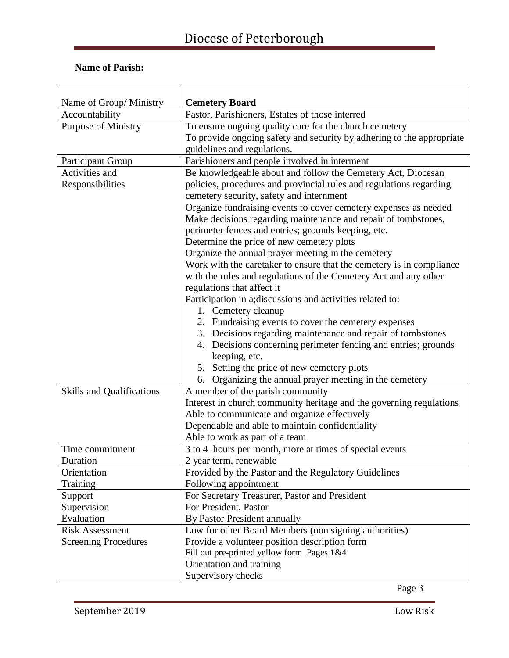#### **Name of Parish:**

|                                           | <b>Cemetery Board</b>                                                             |
|-------------------------------------------|-----------------------------------------------------------------------------------|
| Name of Group/ Ministry<br>Accountability | Pastor, Parishioners, Estates of those interred                                   |
| <b>Purpose of Ministry</b>                | To ensure ongoing quality care for the church cemetery                            |
|                                           | To provide ongoing safety and security by adhering to the appropriate             |
|                                           | guidelines and regulations.                                                       |
| Participant Group                         | Parishioners and people involved in interment                                     |
| Activities and                            | Be knowledgeable about and follow the Cemetery Act, Diocesan                      |
| Responsibilities                          | policies, procedures and provincial rules and regulations regarding               |
|                                           | cemetery security, safety and internment                                          |
|                                           | Organize fundraising events to cover cemetery expenses as needed                  |
|                                           | Make decisions regarding maintenance and repair of tombstones,                    |
|                                           | perimeter fences and entries; grounds keeping, etc.                               |
|                                           | Determine the price of new cemetery plots                                         |
|                                           | Organize the annual prayer meeting in the cemetery                                |
|                                           | Work with the caretaker to ensure that the cemetery is in compliance              |
|                                           | with the rules and regulations of the Cemetery Act and any other                  |
|                                           | regulations that affect it                                                        |
|                                           | Participation in a; discussions and activities related to:                        |
|                                           | 1. Cemetery cleanup                                                               |
|                                           | 2. Fundraising events to cover the cemetery expenses                              |
|                                           | 3. Decisions regarding maintenance and repair of tombstones                       |
|                                           | 4. Decisions concerning perimeter fencing and entries; grounds                    |
|                                           | keeping, etc.                                                                     |
|                                           | 5. Setting the price of new cemetery plots                                        |
|                                           | 6. Organizing the annual prayer meeting in the cemetery                           |
| <b>Skills and Qualifications</b>          | A member of the parish community                                                  |
|                                           | Interest in church community heritage and the governing regulations               |
|                                           | Able to communicate and organize effectively                                      |
|                                           | Dependable and able to maintain confidentiality<br>Able to work as part of a team |
| Time commitment                           | 3 to 4 hours per month, more at times of special events                           |
| Duration                                  | 2 year term, renewable                                                            |
| Orientation                               | Provided by the Pastor and the Regulatory Guidelines                              |
| Training                                  | Following appointment                                                             |
| Support                                   | For Secretary Treasurer, Pastor and President                                     |
| Supervision                               | For President, Pastor                                                             |
| Evaluation                                | By Pastor President annually                                                      |
| <b>Risk Assessment</b>                    | Low for other Board Members (non signing authorities)                             |
| <b>Screening Procedures</b>               | Provide a volunteer position description form                                     |
|                                           | Fill out pre-printed yellow form Pages 1&4                                        |
|                                           | Orientation and training                                                          |
|                                           | Supervisory checks                                                                |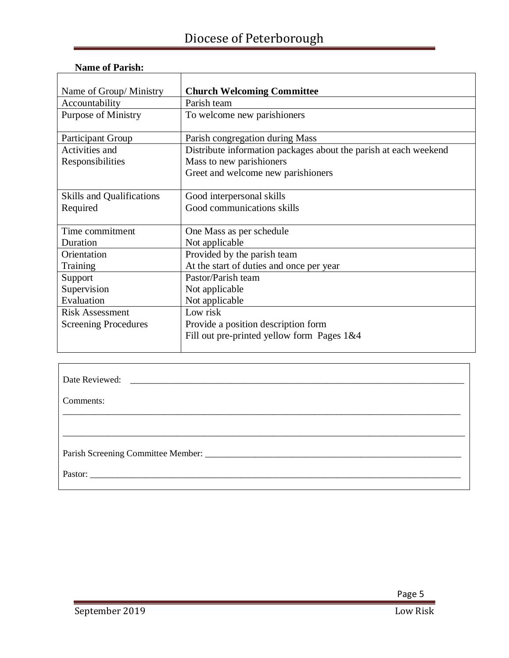| Name of Group/Ministry           | <b>Church Welcoming Committee</b>                                |
|----------------------------------|------------------------------------------------------------------|
| Accountability                   | Parish team                                                      |
| <b>Purpose of Ministry</b>       | To welcome new parishioners                                      |
| Participant Group                | Parish congregation during Mass                                  |
| Activities and                   | Distribute information packages about the parish at each weekend |
| Responsibilities                 | Mass to new parishioners                                         |
|                                  | Greet and welcome new parishioners                               |
|                                  |                                                                  |
| <b>Skills and Qualifications</b> | Good interpersonal skills                                        |
| Required                         | Good communications skills                                       |
|                                  |                                                                  |
| Time commitment                  | One Mass as per schedule                                         |
| Duration                         | Not applicable                                                   |
| Orientation                      | Provided by the parish team                                      |
| Training                         | At the start of duties and once per year                         |
| Support                          | Pastor/Parish team                                               |
| Supervision                      | Not applicable                                                   |
| Evaluation                       | Not applicable                                                   |
| <b>Risk Assessment</b>           | Low risk                                                         |
| <b>Screening Procedures</b>      | Provide a position description form                              |
|                                  | Fill out pre-printed yellow form Pages 1&4                       |
|                                  |                                                                  |

| Comments: |
|-----------|
|           |
|           |
|           |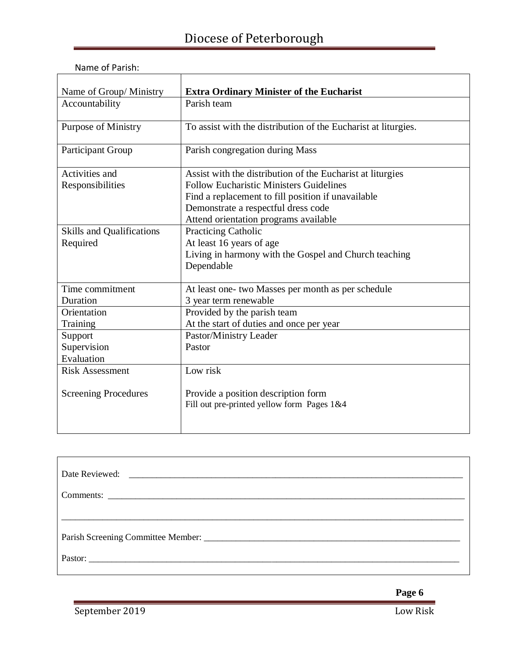| Name of Group/ Ministry          | <b>Extra Ordinary Minister of the Eucharist</b>                |
|----------------------------------|----------------------------------------------------------------|
| Accountability                   | Parish team                                                    |
| <b>Purpose of Ministry</b>       | To assist with the distribution of the Eucharist at liturgies. |
| <b>Participant Group</b>         | Parish congregation during Mass                                |
| Activities and                   | Assist with the distribution of the Eucharist at liturgies     |
| Responsibilities                 | <b>Follow Eucharistic Ministers Guidelines</b>                 |
|                                  | Find a replacement to fill position if unavailable             |
|                                  | Demonstrate a respectful dress code                            |
|                                  | Attend orientation programs available                          |
| <b>Skills and Qualifications</b> | <b>Practicing Catholic</b>                                     |
| Required                         | At least 16 years of age                                       |
|                                  | Living in harmony with the Gospel and Church teaching          |
|                                  | Dependable                                                     |
| Time commitment                  | At least one- two Masses per month as per schedule             |
| Duration                         | 3 year term renewable                                          |
| Orientation                      | Provided by the parish team                                    |
| Training                         | At the start of duties and once per year                       |
| Support                          | Pastor/Ministry Leader                                         |
| Supervision                      | Pastor                                                         |
| Evaluation                       |                                                                |
| <b>Risk Assessment</b>           | Low risk                                                       |
|                                  |                                                                |
| <b>Screening Procedures</b>      | Provide a position description form                            |
|                                  | Fill out pre-printed yellow form Pages 1&4                     |
|                                  |                                                                |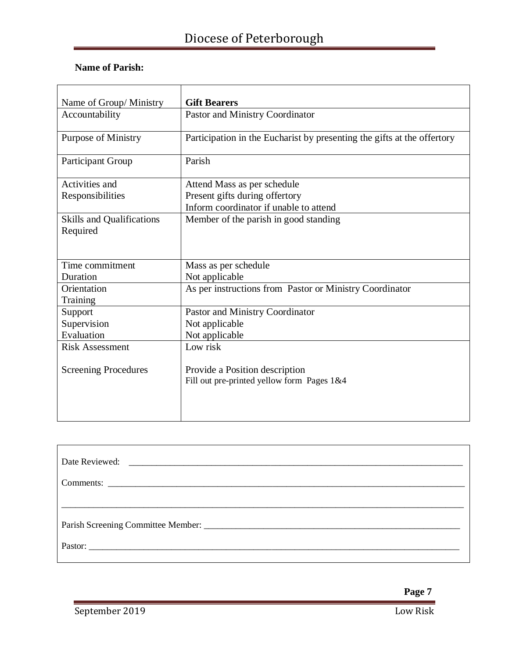|                                              | <b>Gift Bearers</b>                                                          |
|----------------------------------------------|------------------------------------------------------------------------------|
| Name of Group/ Ministry                      |                                                                              |
| Accountability                               | Pastor and Ministry Coordinator                                              |
| <b>Purpose of Ministry</b>                   | Participation in the Eucharist by presenting the gifts at the offertory      |
| Participant Group                            | Parish                                                                       |
| Activities and                               | Attend Mass as per schedule                                                  |
| Responsibilities                             | Present gifts during offertory                                               |
|                                              | Inform coordinator if unable to attend                                       |
| <b>Skills and Qualifications</b><br>Required | Member of the parish in good standing                                        |
| Time commitment                              | Mass as per schedule                                                         |
| Duration                                     | Not applicable                                                               |
| Orientation<br>Training                      | As per instructions from Pastor or Ministry Coordinator                      |
| Support                                      | Pastor and Ministry Coordinator                                              |
| Supervision                                  | Not applicable                                                               |
| Evaluation                                   | Not applicable                                                               |
| <b>Risk Assessment</b>                       | Low risk                                                                     |
| <b>Screening Procedures</b>                  | Provide a Position description<br>Fill out pre-printed yellow form Pages 1&4 |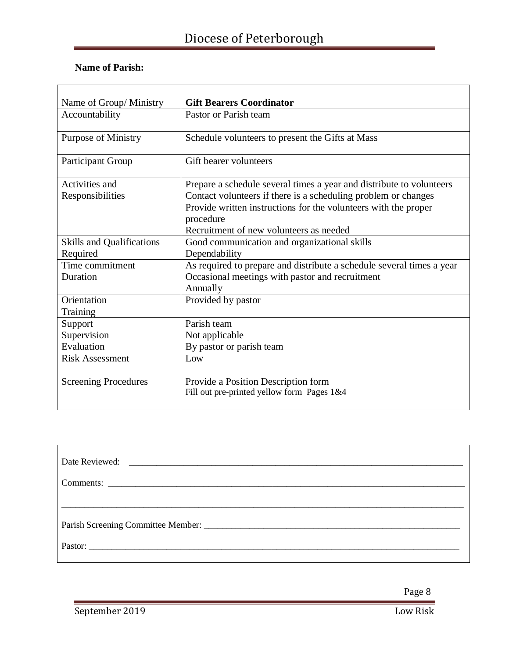| Name of Group/Ministry           | <b>Gift Bearers Coordinator</b>                                                   |
|----------------------------------|-----------------------------------------------------------------------------------|
| Accountability                   | Pastor or Parish team                                                             |
| <b>Purpose of Ministry</b>       | Schedule volunteers to present the Gifts at Mass                                  |
| <b>Participant Group</b>         | Gift bearer volunteers                                                            |
| Activities and                   | Prepare a schedule several times a year and distribute to volunteers              |
| Responsibilities                 | Contact volunteers if there is a scheduling problem or changes                    |
|                                  | Provide written instructions for the volunteers with the proper                   |
|                                  | procedure                                                                         |
|                                  | Recruitment of new volunteers as needed                                           |
| <b>Skills and Qualifications</b> | Good communication and organizational skills                                      |
| Required                         | Dependability                                                                     |
| Time commitment                  | As required to prepare and distribute a schedule several times a year             |
| Duration                         | Occasional meetings with pastor and recruitment                                   |
|                                  | Annually                                                                          |
| Orientation                      | Provided by pastor                                                                |
| Training                         |                                                                                   |
| Support                          | Parish team                                                                       |
| Supervision                      | Not applicable                                                                    |
| Evaluation                       | By pastor or parish team                                                          |
| <b>Risk Assessment</b>           | Low                                                                               |
| <b>Screening Procedures</b>      | Provide a Position Description form<br>Fill out pre-printed yellow form Pages 1&4 |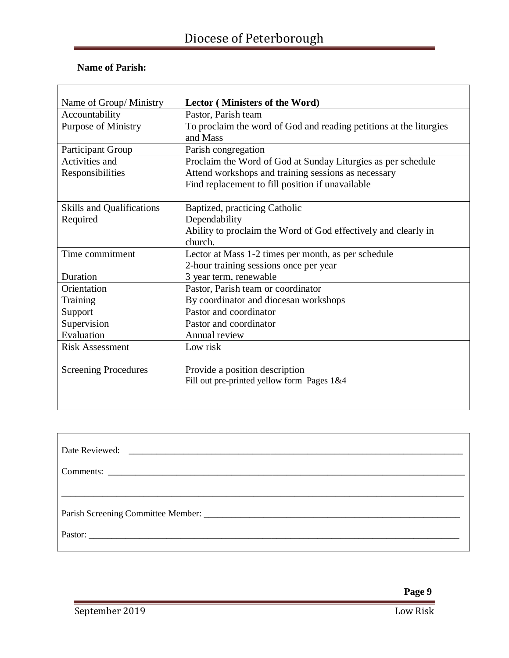| Name of Group/ Ministry          | Lector (Ministers of the Word)                                                 |
|----------------------------------|--------------------------------------------------------------------------------|
| Accountability                   | Pastor, Parish team                                                            |
| <b>Purpose of Ministry</b>       | To proclaim the word of God and reading petitions at the liturgies<br>and Mass |
| <b>Participant Group</b>         | Parish congregation                                                            |
| Activities and                   | Proclaim the Word of God at Sunday Liturgies as per schedule                   |
| Responsibilities                 | Attend workshops and training sessions as necessary                            |
|                                  | Find replacement to fill position if unavailable                               |
|                                  |                                                                                |
| <b>Skills and Qualifications</b> | Baptized, practicing Catholic                                                  |
| Required                         | Dependability                                                                  |
|                                  | Ability to proclaim the Word of God effectively and clearly in                 |
|                                  | church.                                                                        |
| Time commitment                  | Lector at Mass 1-2 times per month, as per schedule                            |
|                                  | 2-hour training sessions once per year                                         |
| Duration                         | 3 year term, renewable                                                         |
| Orientation                      | Pastor, Parish team or coordinator                                             |
| Training                         | By coordinator and diocesan workshops                                          |
| Support                          | Pastor and coordinator                                                         |
| Supervision                      | Pastor and coordinator                                                         |
| Evaluation                       | Annual review                                                                  |
| <b>Risk Assessment</b>           | Low risk                                                                       |
| <b>Screening Procedures</b>      | Provide a position description<br>Fill out pre-printed yellow form Pages 1&4   |
|                                  |                                                                                |

| Date Reviewed: |
|----------------|
|                |
|                |
|                |
|                |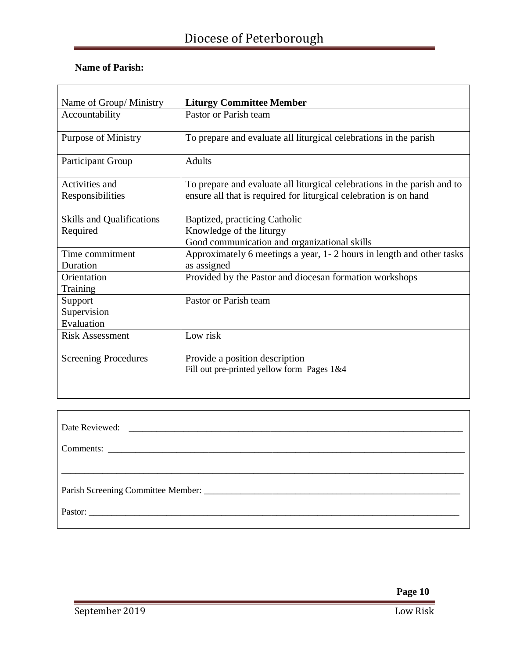| Name of Group/Ministry                       | <b>Liturgy Committee Member</b>                                                                                                               |
|----------------------------------------------|-----------------------------------------------------------------------------------------------------------------------------------------------|
| Accountability                               | Pastor or Parish team                                                                                                                         |
| <b>Purpose of Ministry</b>                   | To prepare and evaluate all liturgical celebrations in the parish                                                                             |
| <b>Participant Group</b>                     | <b>Adults</b>                                                                                                                                 |
| Activities and<br>Responsibilities           | To prepare and evaluate all liturgical celebrations in the parish and to<br>ensure all that is required for liturgical celebration is on hand |
| <b>Skills and Qualifications</b><br>Required | Baptized, practicing Catholic<br>Knowledge of the liturgy<br>Good communication and organizational skills                                     |
| Time commitment<br>Duration                  | Approximately 6 meetings a year, 1-2 hours in length and other tasks<br>as assigned                                                           |
| Orientation<br>Training                      | Provided by the Pastor and diocesan formation workshops                                                                                       |
| Support<br>Supervision<br>Evaluation         | Pastor or Parish team                                                                                                                         |
| <b>Risk Assessment</b>                       | Low risk                                                                                                                                      |
| <b>Screening Procedures</b>                  | Provide a position description<br>Fill out pre-printed yellow form Pages 1&4                                                                  |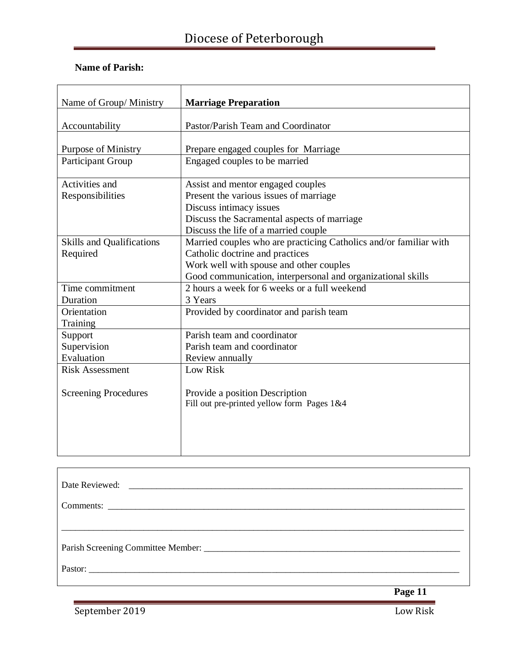#### **Name of Parish:**

| Name of Group/Ministry           | <b>Marriage Preparation</b>                                       |
|----------------------------------|-------------------------------------------------------------------|
|                                  |                                                                   |
| Accountability                   | Pastor/Parish Team and Coordinator                                |
|                                  |                                                                   |
| <b>Purpose of Ministry</b>       | Prepare engaged couples for Marriage                              |
| <b>Participant Group</b>         | Engaged couples to be married                                     |
| Activities and                   | Assist and mentor engaged couples                                 |
| Responsibilities                 | Present the various issues of marriage                            |
|                                  | Discuss intimacy issues                                           |
|                                  | Discuss the Sacramental aspects of marriage                       |
|                                  | Discuss the life of a married couple                              |
| <b>Skills and Qualifications</b> | Married couples who are practicing Catholics and/or familiar with |
| Required                         | Catholic doctrine and practices                                   |
|                                  | Work well with spouse and other couples                           |
|                                  | Good communication, interpersonal and organizational skills       |
| Time commitment                  | 2 hours a week for 6 weeks or a full weekend                      |
| Duration                         | 3 Years                                                           |
| Orientation                      | Provided by coordinator and parish team                           |
| Training                         |                                                                   |
| Support                          | Parish team and coordinator                                       |
| Supervision                      | Parish team and coordinator                                       |
| Evaluation                       | Review annually                                                   |
| <b>Risk Assessment</b>           | Low Risk                                                          |
|                                  |                                                                   |
| <b>Screening Procedures</b>      | Provide a position Description                                    |
|                                  | Fill out pre-printed yellow form Pages 1&4                        |
|                                  |                                                                   |
|                                  |                                                                   |
|                                  |                                                                   |
|                                  |                                                                   |

| Pastor: |
|---------|

 **Page 11**

September 2019 Low Risk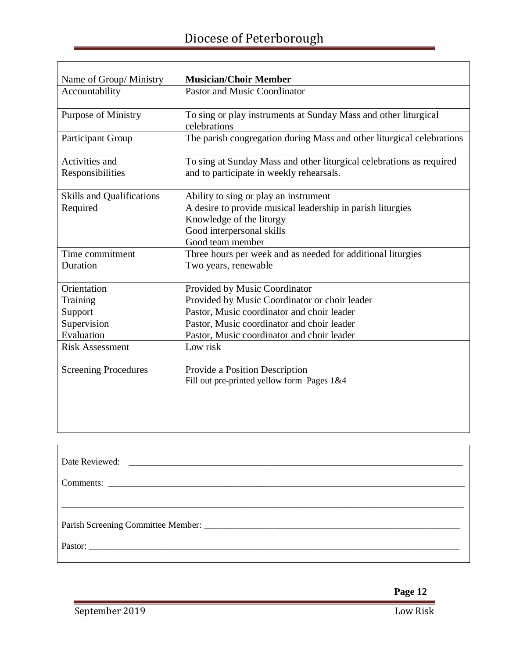| Name of Group/ Ministry          | <b>Musician/Choir Member</b>                                                    |
|----------------------------------|---------------------------------------------------------------------------------|
| Accountability                   | <b>Pastor and Music Coordinator</b>                                             |
| <b>Purpose of Ministry</b>       | To sing or play instruments at Sunday Mass and other liturgical<br>celebrations |
| Participant Group                | The parish congregation during Mass and other liturgical celebrations           |
| Activities and                   | To sing at Sunday Mass and other liturgical celebrations as required            |
| Responsibilities                 | and to participate in weekly rehearsals.                                        |
| <b>Skills and Qualifications</b> | Ability to sing or play an instrument                                           |
| Required                         | A desire to provide musical leadership in parish liturgies                      |
|                                  | Knowledge of the liturgy                                                        |
|                                  | Good interpersonal skills                                                       |
|                                  | Good team member                                                                |
| Time commitment                  | Three hours per week and as needed for additional liturgies                     |
| Duration                         | Two years, renewable                                                            |
| Orientation                      | Provided by Music Coordinator                                                   |
| Training                         | Provided by Music Coordinator or choir leader                                   |
| Support                          | Pastor, Music coordinator and choir leader                                      |
| Supervision                      | Pastor, Music coordinator and choir leader                                      |
| Evaluation                       | Pastor, Music coordinator and choir leader                                      |
| <b>Risk Assessment</b>           | Low risk                                                                        |
| <b>Screening Procedures</b>      | Provide a Position Description                                                  |
|                                  | Fill out pre-printed yellow form Pages 1&4                                      |
|                                  |                                                                                 |
|                                  |                                                                                 |
|                                  |                                                                                 |
|                                  |                                                                                 |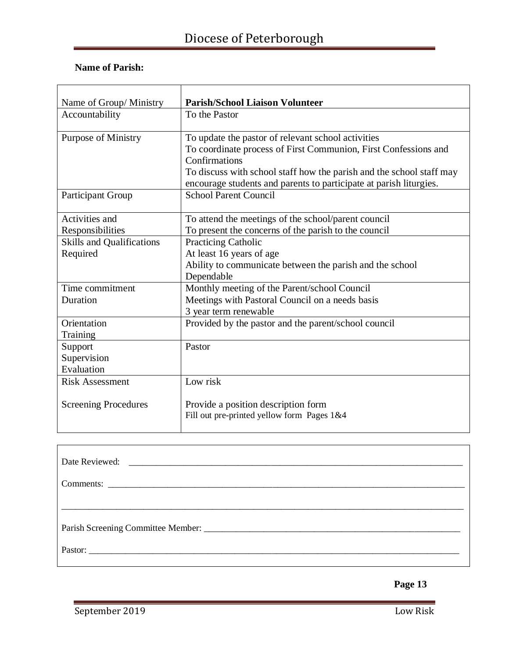#### **Name of Parish:**

| Name of Group/Ministry           | <b>Parish/School Liaison Volunteer</b>                               |
|----------------------------------|----------------------------------------------------------------------|
| Accountability                   | To the Pastor                                                        |
| <b>Purpose of Ministry</b>       | To update the pastor of relevant school activities                   |
|                                  | To coordinate process of First Communion, First Confessions and      |
|                                  | Confirmations                                                        |
|                                  | To discuss with school staff how the parish and the school staff may |
|                                  | encourage students and parents to participate at parish liturgies.   |
| <b>Participant Group</b>         | <b>School Parent Council</b>                                         |
|                                  |                                                                      |
| Activities and                   | To attend the meetings of the school/parent council                  |
| Responsibilities                 | To present the concerns of the parish to the council                 |
| <b>Skills and Qualifications</b> | <b>Practicing Catholic</b>                                           |
| Required                         | At least 16 years of age                                             |
|                                  | Ability to communicate between the parish and the school             |
|                                  | Dependable                                                           |
| Time commitment                  | Monthly meeting of the Parent/school Council                         |
| Duration                         | Meetings with Pastoral Council on a needs basis                      |
|                                  | 3 year term renewable                                                |
| Orientation                      | Provided by the pastor and the parent/school council                 |
| Training                         |                                                                      |
| Support                          | Pastor                                                               |
| Supervision                      |                                                                      |
| Evaluation                       |                                                                      |
| <b>Risk Assessment</b>           | Low risk                                                             |
|                                  |                                                                      |
| <b>Screening Procedures</b>      | Provide a position description form                                  |
|                                  | Fill out pre-printed yellow form Pages 1&4                           |
|                                  |                                                                      |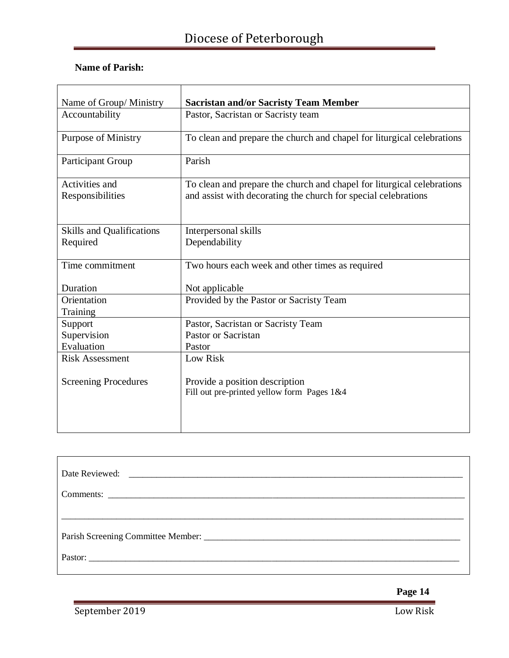| Name of Group/ Ministry                      | <b>Sacristan and/or Sacristy Team Member</b>                                                                                             |
|----------------------------------------------|------------------------------------------------------------------------------------------------------------------------------------------|
|                                              |                                                                                                                                          |
| Accountability                               | Pastor, Sacristan or Sacristy team                                                                                                       |
| <b>Purpose of Ministry</b>                   | To clean and prepare the church and chapel for liturgical celebrations                                                                   |
| <b>Participant Group</b>                     | Parish                                                                                                                                   |
| Activities and<br>Responsibilities           | To clean and prepare the church and chapel for liturgical celebrations<br>and assist with decorating the church for special celebrations |
| <b>Skills and Qualifications</b><br>Required | Interpersonal skills<br>Dependability                                                                                                    |
| Time commitment                              | Two hours each week and other times as required                                                                                          |
| Duration                                     | Not applicable                                                                                                                           |
| Orientation                                  | Provided by the Pastor or Sacristy Team                                                                                                  |
| Training                                     |                                                                                                                                          |
| Support                                      | Pastor, Sacristan or Sacristy Team                                                                                                       |
| Supervision                                  | Pastor or Sacristan                                                                                                                      |
| Evaluation                                   | Pastor                                                                                                                                   |
| <b>Risk Assessment</b>                       | Low Risk                                                                                                                                 |
| <b>Screening Procedures</b>                  | Provide a position description<br>Fill out pre-printed yellow form Pages 1&4                                                             |

| Pastor: |  |
|---------|--|

 **Page 14**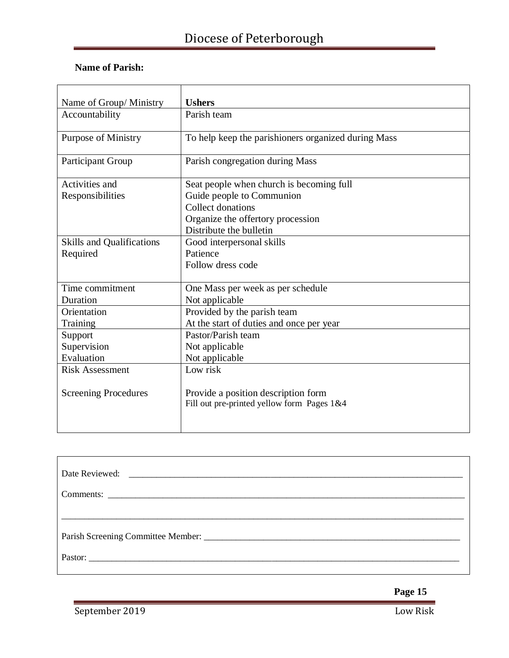| Name of Group/Ministry           | <b>Ushers</b>                                                                     |
|----------------------------------|-----------------------------------------------------------------------------------|
| Accountability                   | Parish team                                                                       |
| <b>Purpose of Ministry</b>       | To help keep the parishioners organized during Mass                               |
| <b>Participant Group</b>         | Parish congregation during Mass                                                   |
| Activities and                   | Seat people when church is becoming full                                          |
| Responsibilities                 | Guide people to Communion                                                         |
|                                  | Collect donations                                                                 |
|                                  | Organize the offertory procession                                                 |
|                                  | Distribute the bulletin                                                           |
| <b>Skills and Qualifications</b> | Good interpersonal skills                                                         |
| Required                         | Patience                                                                          |
|                                  | Follow dress code                                                                 |
|                                  |                                                                                   |
| Time commitment                  | One Mass per week as per schedule                                                 |
| Duration                         | Not applicable                                                                    |
| Orientation                      | Provided by the parish team                                                       |
| Training                         | At the start of duties and once per year                                          |
| Support                          | Pastor/Parish team                                                                |
| Supervision                      | Not applicable                                                                    |
| Evaluation                       | Not applicable                                                                    |
| <b>Risk Assessment</b>           | Low risk                                                                          |
| <b>Screening Procedures</b>      | Provide a position description form<br>Fill out pre-printed yellow form Pages 1&4 |